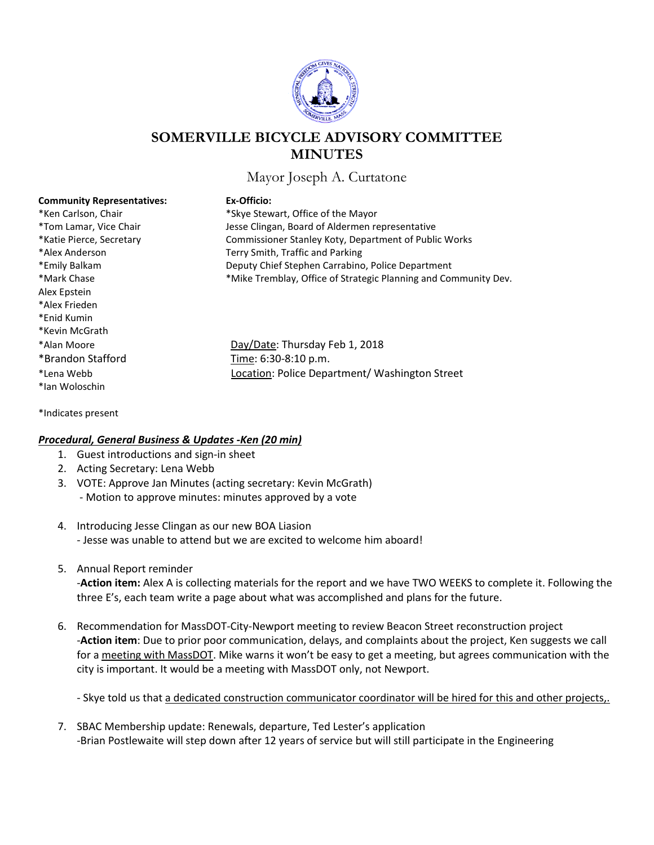

# **SOMERVILLE BICYCLE ADVISORY COMMITTEE MINUTES**

Mayor Joseph A. Curtatone

| <b>Community Representativ</b> |
|--------------------------------|
| *Ken Carlson, Chair            |
| *Tom Lamar, Vice Chair         |
| *Katie Pierce, Secretary       |
| *Alex Anderson                 |
| *Emily Balkam                  |
| *Mark Chase                    |
| Alex Epstein                   |
| *Alex Frieden                  |
| *Enid Kumin                    |
| *Kevin McGrath                 |
| *Alan Moore                    |
| *Brandon Stafford              |
| *Lena Webb                     |
| *lan Woloschin                 |
|                                |

**Community Representatives: Ex-Officio:**

\*Skye Stewart, Office of the Mayor Jesse Clingan, Board of Aldermen representative Commissioner Stanley Koty, Department of Public Works Terry Smith, Traffic and Parking Deputy Chief Stephen Carrabino, Police Department \*Mike Tremblay, Office of Strategic Planning and Community Dev.

Day/Date: Thursday Feb 1, 2018 Time: 6:30-8:10 p.m. Location: Police Department/ Washington Street

\*Indicates present

#### *Procedural, General Business & Updates -Ken (20 min)*

- 1. Guest introductions and sign-in sheet
- 2. Acting Secretary: Lena Webb
- 3. VOTE: Approve Jan Minutes (acting secretary: Kevin McGrath)
	- Motion to approve minutes: minutes approved by a vote
- 4. Introducing Jesse Clingan as our new BOA Liasion - Jesse was unable to attend but we are excited to welcome him aboard!
- 5. Annual Report reminder

-**Action item:** Alex A is collecting materials for the report and we have TWO WEEKS to complete it. Following the three E's, each team write a page about what was accomplished and plans for the future.

6. Recommendation for MassDOT-City-Newport meeting to review Beacon Street reconstruction project -**Action item**: Due to prior poor communication, delays, and complaints about the project, Ken suggests we call for a meeting with MassDOT. Mike warns it won't be easy to get a meeting, but agrees communication with the city is important. It would be a meeting with MassDOT only, not Newport.

- Skye told us that a dedicated construction communicator coordinator will be hired for this and other projects,.

7. SBAC Membership update: Renewals, departure, Ted Lester's application -Brian Postlewaite will step down after 12 years of service but will still participate in the Engineering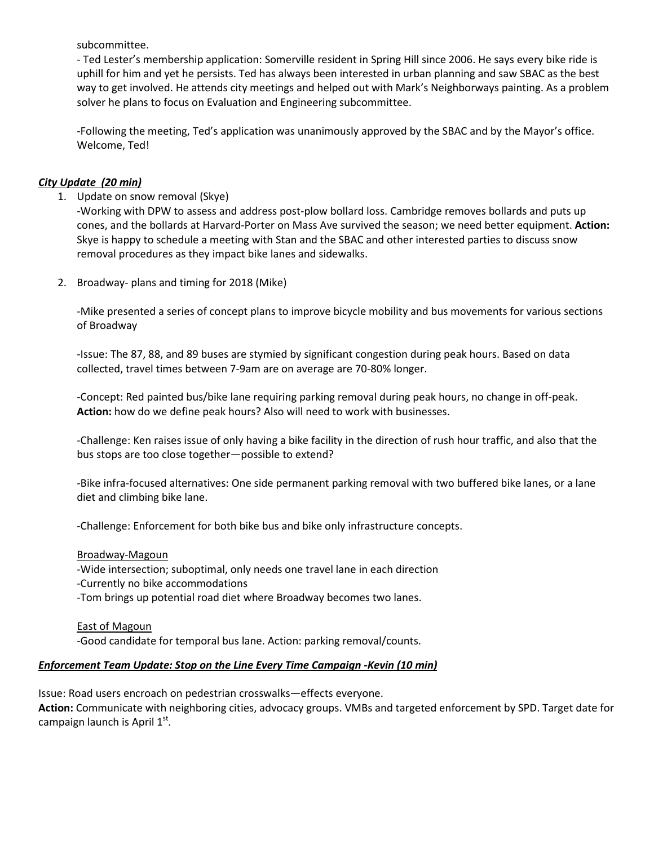subcommittee.

- Ted Lester's membership application: Somerville resident in Spring Hill since 2006. He says every bike ride is uphill for him and yet he persists. Ted has always been interested in urban planning and saw SBAC as the best way to get involved. He attends city meetings and helped out with Mark's Neighborways painting. As a problem solver he plans to focus on Evaluation and Engineering subcommittee.

-Following the meeting, Ted's application was unanimously approved by the SBAC and by the Mayor's office. Welcome, Ted!

## *City Update (20 min)*

1. Update on snow removal (Skye)

-Working with DPW to assess and address post-plow bollard loss. Cambridge removes bollards and puts up cones, and the bollards at Harvard-Porter on Mass Ave survived the season; we need better equipment. **Action:** Skye is happy to schedule a meeting with Stan and the SBAC and other interested parties to discuss snow removal procedures as they impact bike lanes and sidewalks.

2. Broadway- plans and timing for 2018 (Mike)

-Mike presented a series of concept plans to improve bicycle mobility and bus movements for various sections of Broadway

-Issue: The 87, 88, and 89 buses are stymied by significant congestion during peak hours. Based on data collected, travel times between 7-9am are on average are 70-80% longer.

-Concept: Red painted bus/bike lane requiring parking removal during peak hours, no change in off-peak. **Action:** how do we define peak hours? Also will need to work with businesses.

-Challenge: Ken raises issue of only having a bike facility in the direction of rush hour traffic, and also that the bus stops are too close together—possible to extend?

-Bike infra-focused alternatives: One side permanent parking removal with two buffered bike lanes, or a lane diet and climbing bike lane.

-Challenge: Enforcement for both bike bus and bike only infrastructure concepts.

#### Broadway-Magoun

-Wide intersection; suboptimal, only needs one travel lane in each direction -Currently no bike accommodations

-Tom brings up potential road diet where Broadway becomes two lanes.

East of Magoun -Good candidate for temporal bus lane. Action: parking removal/counts.

#### *Enforcement Team Update: Stop on the Line Every Time Campaign -Kevin (10 min)*

Issue: Road users encroach on pedestrian crosswalks—effects everyone. **Action:** Communicate with neighboring cities, advocacy groups. VMBs and targeted enforcement by SPD. Target date for campaign launch is April  $1<sup>st</sup>$ .